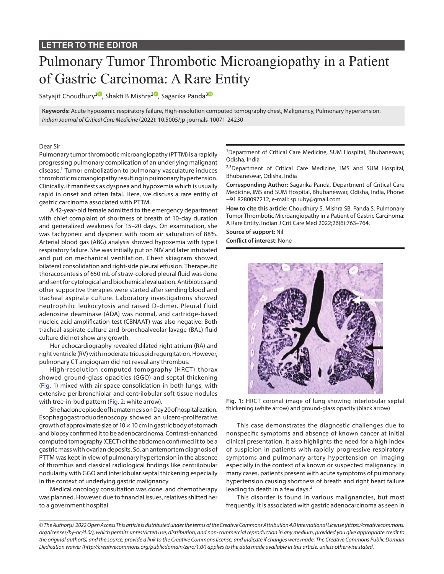## **LETTER TO THE EDITOR**

# Pulmonary Tumor Thrombotic Microangiopathy in a Patient of Gastric Carcinoma: A Rare Entity

Satyajit Choudhury<sup>10</sup>[,](https://orcid.org/0000-0001-6634-1877) Shakti B Mishra<sup>20</sup>, Sagarika Panda<sup>[3](https://orcid.org/0000-0002-8547-5720)0</sup>

**Keywords:** Acute hypoxemic respiratory failure, High-resolution computed tomography chest, Malignancy, Pulmonary hypertension. *Indian Journal of Critical Care Medicine* (2022): 10.5005/jp-journals-10071-24230

#### Dear Sir

Pulmonary tumor thrombotic microangiopathy (PTTM) is a rapidly progressing pulmonary complication of an underlying malignant disease.<sup>[1](#page-1-0)</sup> Tumor embolization to pulmonary vasculature induces thrombotic microangiopathy resulting in pulmonary hypertension. Clinically, it manifests as dyspnea and hypoxemia which is usually rapid in onset and often fatal. Here, we discuss a rare entity of gastric carcinoma associated with PTTM.

A 42-year-old female admitted to the emergency department with chief complaint of shortness of breath of 10-day duration and generalized weakness for 15–20 days. On examination, she was tachypneic and dyspneic with room air saturation of 88%. Arterial blood gas (ABG) analysis showed hypoxemia with type I respiratory failure. She was initially put on NIV and later intubated and put on mechanical ventilation. Chest skiagram showed bilateral consolidation and right-side pleural effusion. Therapeutic thoracocentesis of 650 mL of straw-colored pleural fluid was done and sent for cytological and biochemical evaluation. Antibiotics and other supportive therapies were started after sending blood and tracheal aspirate culture. Laboratory investigations showed neutrophilic leukocytosis and raised D-dimer. Pleural fluid adenosine deaminase (ADA) was normal, and cartridge-based nucleic acid amplification test (CBNAAT) was also negative. Both tracheal aspirate culture and bronchoalveolar lavage (BAL) fluid culture did not show any growth.

Her echocardiography revealed dilated right atrium (RA) and right ventricle (RV) with moderate tricuspid regurgitation. However, pulmonary CT angiogram did not reveal any thrombus.

High-resolution computed tomography (HRCT) thorax showed ground-glass opacities (GGO) and septal thickening ([Fig. 1\)](#page-0-0) mixed with air space consolidation in both lungs, with extensive peribronchiolar and centrilobular soft tissue nodules with tree-in-bud pattern [\(Fig. 2:](#page-1-1) white arrow).

She had one episode of hematemesis on Day 20 of hospitalization. Esophagogastroduodenoscopy showed an ulcero-proliferative growth of approximate size of  $10 \times 10$  cm in gastric body of stomach and biopsy confirmed it to be adenocarcinoma. Contrast-enhanced computed tomography (CECT) of the abdomen confirmed it to be a gastric mass with ovarian deposits. So, an antemortem diagnosis of PTTM was kept in view of pulmonary hypertension in the absence of thrombus and classical radiological findings like centrilobular nodularity with GGO and interlobular septal thickening especially in the context of underlying gastric malignancy.

Medical oncology consultation was done, and chemotherapy was planned. However, due to financial issues, relatives shifted her to a government hospital.

<sup>1</sup>Department of Critical Care Medicine, SUM Hospital, Bhubaneswar, Odisha, India

<sup>2,3</sup>Department of Critical Care Medicine, IMS and SUM Hospital, Bhubaneswar, Odisha, India

**Corresponding Author:** Sagarika Panda, Department of Critical Care Medicine, IMS and SUM Hospital, Bhubaneswar, Odisha, India, Phone: +91 8280097212, e-mail: sp.ruby@gmail.com

**How to cite this article:** Choudhury S, Mishra SB, Panda S. Pulmonary Tumor Thrombotic Microangiopathy in a Patient of Gastric Carcinoma: A Rare Entity. Indian J Crit Care Med 2022;26(6):763–764.

**Source of support:** Nil **Conflict of interest:** None



**Fig. 1:** HRCT coronal image of lung showing interlobular septal thickening (white arrow) and ground-glass opacity (black arrow)

<span id="page-0-0"></span>This case demonstrates the diagnostic challenges due to nonspecific symptoms and absence of known cancer at initial clinical presentation. It also highlights the need for a high index of suspicion in patients with rapidly progressive respiratory symptoms and pulmonary artery hypertension on imaging especially in the context of a known or suspected malignancy. In many cases, patients present with acute symptoms of pulmonary hypertension causing shortness of breath and right heart failure leading to death in a few days. $^2$  $^2$ 

This disorder is found in various malignancies, but most frequently, it is associated with gastric adenocarcinoma as seen in

*<sup>©</sup> The Author(s). 2022 Open Access This article is distributed under the terms of the Creative Commons Attribution 4.0 International License ([https://creativecommons.](https://creativecommons.org/licenses/by-nc/4.0/) [org/licenses/by-nc/4.0/](https://creativecommons.org/licenses/by-nc/4.0/)), which permits unrestricted use, distribution, and non-commercial reproduction in any medium, provided you give appropriate credit to the original author(s) and the source, provide a link to the Creative Commons license, and indicate if changes were made. The Creative Commons Public Domain Dedication waiver ([http://creativecommons.org/publicdomain/zero/1.0/\)](http://creativecommons.org/publicdomain/zero/1.0/) applies to the data made available in this article, unless otherwise stated.*